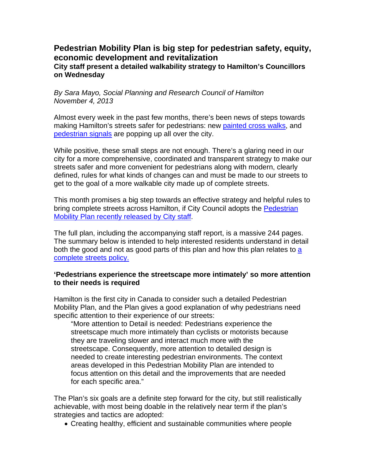# **Pedestrian Mobility Plan is big step for pedestrian safety, equity, economic development and revitalization City staff present a detailed walkability strategy to Hamilton's Councillors on Wednesday**

*By Sara Mayo, Social Planning and Research Council of Hamilton November 4, 2013* 

Almost every week in the past few months, there's been news of steps towards making Hamilton's streets safer for pedestrians: new painted cross walks, and pedestrian signals are popping up all over the city.

While positive, these small steps are not enough. There's a glaring need in our city for a more comprehensive, coordinated and transparent strategy to make our streets safer and more convenient for pedestrians along with modern, clearly defined, rules for what kinds of changes can and must be made to our streets to get to the goal of a more walkable city made up of complete streets.

This month promises a big step towards an effective strategy and helpful rules to bring complete streets across Hamilton, if City Council adopts the Pedestrian Mobility Plan recently released by City staff.

The full plan, including the accompanying staff report, is a massive 244 pages. The summary below is intended to help interested residents understand in detail both the good and not as good parts of this plan and how this plan relates to a complete streets policy.

#### **'Pedestrians experience the streetscape more intimately' so more attention to their needs is required**

Hamilton is the first city in Canada to consider such a detailed Pedestrian Mobility Plan, and the Plan gives a good explanation of why pedestrians need specific attention to their experience of our streets:

"More attention to Detail is needed: Pedestrians experience the streetscape much more intimately than cyclists or motorists because they are traveling slower and interact much more with the streetscape. Consequently, more attention to detailed design is needed to create interesting pedestrian environments. The context areas developed in this Pedestrian Mobility Plan are intended to focus attention on this detail and the improvements that are needed for each specific area."

The Plan's six goals are a definite step forward for the city, but still realistically achievable, with most being doable in the relatively near term if the plan's strategies and tactics are adopted:

• Creating healthy, efficient and sustainable communities where people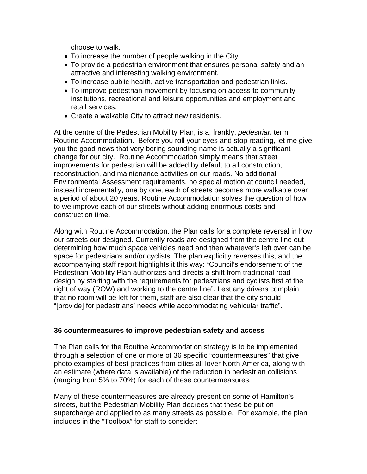choose to walk.

- To increase the number of people walking in the City.
- To provide a pedestrian environment that ensures personal safety and an attractive and interesting walking environment.
- To increase public health, active transportation and pedestrian links.
- To improve pedestrian movement by focusing on access to community institutions, recreational and leisure opportunities and employment and retail services.
- Create a walkable City to attract new residents.

At the centre of the Pedestrian Mobility Plan, is a, frankly, *pedestrian* term: Routine Accommodation. Before you roll your eyes and stop reading, let me give you the good news that very boring sounding name is actually a significant change for our city. Routine Accommodation simply means that street improvements for pedestrian will be added by default to all construction, reconstruction, and maintenance activities on our roads. No additional Environmental Assessment requirements, no special motion at council needed, instead incrementally, one by one, each of streets becomes more walkable over a period of about 20 years. Routine Accommodation solves the question of how to we improve each of our streets without adding enormous costs and construction time.

Along with Routine Accommodation, the Plan calls for a complete reversal in how our streets our designed. Currently roads are designed from the centre line out – determining how much space vehicles need and then whatever's left over can be space for pedestrians and/or cyclists. The plan explicitly reverses this, and the accompanying staff report highlights it this way: "Council's endorsement of the Pedestrian Mobility Plan authorizes and directs a shift from traditional road design by starting with the requirements for pedestrians and cyclists first at the right of way (ROW) and working to the centre line". Lest any drivers complain that no room will be left for them, staff are also clear that the city should "[provide] for pedestrians' needs while accommodating vehicular traffic".

## **36 countermeasures to improve pedestrian safety and access**

The Plan calls for the Routine Accommodation strategy is to be implemented through a selection of one or more of 36 specific "countermeasures" that give photo examples of best practices from cities all lover North America, along with an estimate (where data is available) of the reduction in pedestrian collisions (ranging from 5% to 70%) for each of these countermeasures.

Many of these countermeasures are already present on some of Hamilton's streets, but the Pedestrian Mobility Plan decrees that these be put on supercharge and applied to as many streets as possible. For example, the plan includes in the "Toolbox" for staff to consider: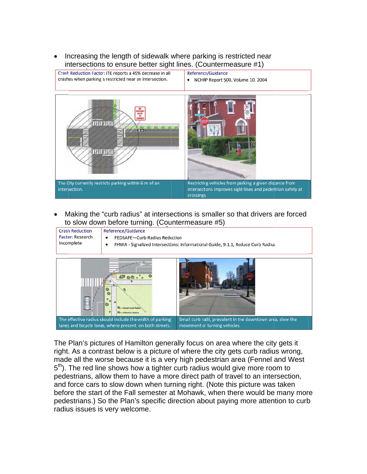• Increasing the length of sidewalk where parking is restricted near intersections to ensure better sight lines. (Countermeasure #1)



• Making the "curb radius" at intersections is smaller so that drivers are forced to slow down before turning. (Countermeasure #5)

| <b>Crash Reduction</b><br><b>Factor: Research</b><br>Incomplete | $\cdots$<br>Reference/Guidance<br>PEDSAFE-Curb Radius Reduction<br>٠<br>FHWA - Signalized Intersections: Informational Guide, 9.1.1, Reduce Curb Radius<br>٠ |
|-----------------------------------------------------------------|--------------------------------------------------------------------------------------------------------------------------------------------------------------|
|                                                                 | - Actual Curb Ratius<br>R2 = Effective Radius                                                                                                                |

The effective radius should include the width of parking Small curb radii, prevalent in the downtown area, slow the lanes and bicycle lanes, where present, on both streets. movement of turning vehicles.

The Plan's pictures of Hamilton generally focus on area where the city gets it right. As a contrast below is a picture of where the city gets curb radius wrong, made all the worse because it is a very high pedestrian area (Fennel and West 5<sup>th</sup>). The red line shows how a tighter curb radius would give more room to pedestrians, allow them to have a more direct path of travel to an intersection, and force cars to slow down when turning right. (Note this picture was taken before the start of the Fall semester at Mohawk, when there would be many more pedestrians.) So the Plan's specific direction about paying more attention to curb radius issues is very welcome.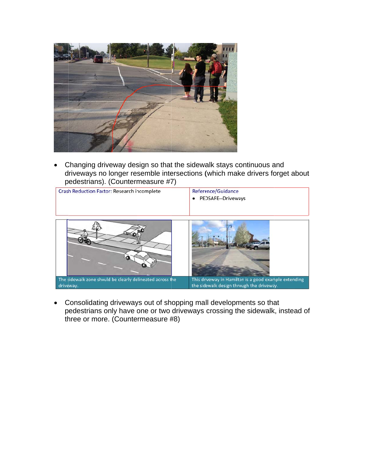

Changing driveway design so that the sidewalk stays continuous and  $\bullet$ driveways no longer resemble intersections (which make drivers forget about pedestrians). (Countermeasure #7)



Consolidating driveways out of shopping mall developments so that  $\bullet$ pedestrians only have one or two driveways crossing the sidewalk, instead of three or more. (Countermeasure #8)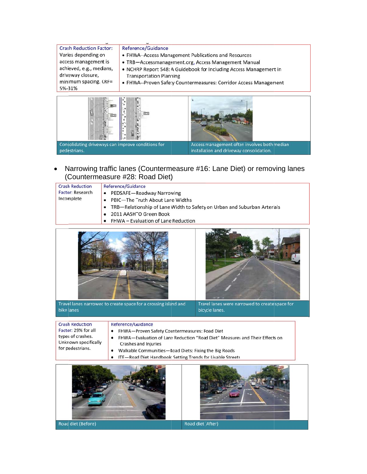| Varies depending on      | • FHWA--Access Management Publications and Resources               |
|--------------------------|--------------------------------------------------------------------|
| access management is     | • TRB-Accessmanagement.org, Access Management Manual               |
| achieved, e.g., medians, | • NCHRP Report 548: A Guidebook for Including Access Management in |
| driveway closure,        | <b>Transportation Planning</b>                                     |
| minimum spacing. CRF=    | • FHWA--Proven Safety Countermeasures: Corridor Access Management  |
| 5%-31%                   |                                                                    |



Narrowing traffic lanes (Countermeasure #16: Lane Diet) or removing lanes (Countermeasure #28: Road Diet)

| <b>Crash Reduction</b><br><b>Factor: Research</b><br>Incomplete | Reference/Guidance<br>• PEDSAFE-Roadway Narrowing<br>• PBIC-The Truth About Lane Widths<br>• TRB—Relationship of Lane Width to Safety on Urban and Suburban Arterials<br>2011 AASHTO Green Book |
|-----------------------------------------------------------------|-------------------------------------------------------------------------------------------------------------------------------------------------------------------------------------------------|
|                                                                 | • FHWA – Evaluation of Lane Reduction                                                                                                                                                           |



Travel lanes narrowed to create space for a crossing island and bike lanes



Travel lanes were narrowed to create space for bicycle lanes.

**Crash Reduction** Factor: 29% for all types of crashes. Unknown specifically for pedestrians.

- Reference/Guidance
- FHWA-Proven Safety Countermeasures: Road Diet
- FHWA-Evaluation of Lane Reduction "Road Diet" Measures and Their Effects on
- Crashes and Injuries
- Walkable Communities-Road Diets: Fixing the Big Roads
- ITE-Road Diet Handbook: Setting Trends for Livable Streets  $\bullet$



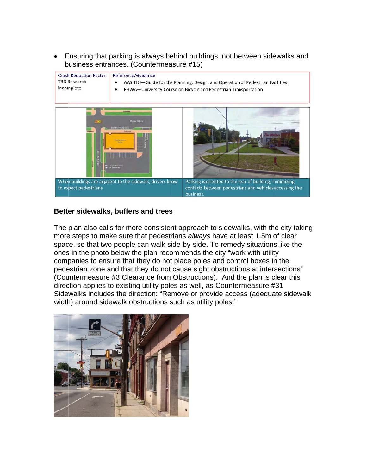• Ensuring that parking is always behind buildings, not between sidewalks and business entrances. (Countermeasure #15)

| <b>Crash Reduction Factor:</b><br><b>TBD Research</b><br>incomplete | Reference/Guidance<br>AASHTO-Guide for the Planning, Design, and Operation of Pedestrian Facilities<br>FHWA-University Course on Bicycle and Pedestrian Transportation |                                                                                                                                        |  |
|---------------------------------------------------------------------|------------------------------------------------------------------------------------------------------------------------------------------------------------------------|----------------------------------------------------------------------------------------------------------------------------------------|--|
| O(10)                                                               | <b>Sidewalk</b><br>Major Street<br>kort-term parke<br><b>CONTAINING</b><br><b>Aratu</b>                                                                                |                                                                                                                                        |  |
| to expect pedestrians.                                              | When buildings are adjacent to the sidewalk, drivers know                                                                                                              | Parking is oriented to the rear of building, minimizing<br>conflicts between pedestrians and vehicles accessing the<br><b>business</b> |  |

## Better sidewalks, buffers and trees

The plan also calls for more consistent approach to sidewalks, with the city taking more steps to make sure that pedestrians always have at least 1.5m of clear space, so that two people can walk side-by-side. To remedy situations like the ones in the photo below the plan recommends the city "work with utility companies to ensure that they do not place poles and control boxes in the pedestrian zone and that they do not cause sight obstructions at intersections" (Countermeasure #3 Clearance from Obstructions). And the plan is clear this direction applies to existing utility poles as well, as Countermeasure #31 Sidewalks includes the direction: "Remove or provide access (adequate sidewalk width) around sidewalk obstructions such as utility poles."

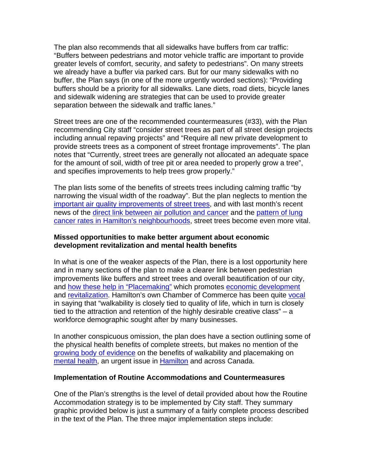The plan also recommends that all sidewalks have buffers from car traffic: "Buffers between pedestrians and motor vehicle traffic are important to provide greater levels of comfort, security, and safety to pedestrians". On many streets we already have a buffer via parked cars. But for our many sidewalks with no buffer, the Plan says (in one of the more urgently worded sections): "Providing buffers should be a priority for all sidewalks. Lane diets, road diets, bicycle lanes and sidewalk widening are strategies that can be used to provide greater separation between the sidewalk and traffic lanes."

Street trees are one of the recommended countermeasures (#33), with the Plan recommending City staff "consider street trees as part of all street design projects including annual repaving projects" and "Require all new private development to provide streets trees as a component of street frontage improvements". The plan notes that "Currently, street trees are generally not allocated an adequate space for the amount of soil, width of tree pit or area needed to properly grow a tree", and specifies improvements to help trees grow properly."

The plan lists some of the benefits of streets trees including calming traffic "by narrowing the visual width of the roadway". But the plan neglects to mention the important air quality improvements of street trees, and with last month's recent news of the direct link between air pollution and cancer and the pattern of lung cancer rates in Hamilton's neighbourhoods, street trees become even more vital.

#### **Missed opportunities to make better argument about economic development revitalization and mental health benefits**

In what is one of the weaker aspects of the Plan, there is a lost opportunity here and in many sections of the plan to make a clearer link between pedestrian improvements like buffers and street trees and overall beautification of our city, and how these help in "Placemaking" which promotes economic development and revitalization. Hamilton's own Chamber of Commerce has been quite vocal in saying that "walkability is closely tied to quality of life, which in turn is closely tied to the attraction and retention of the highly desirable creative class" – a workforce demographic sought after by many businesses.

In another conspicuous omission, the plan does have a section outlining some of the physical health benefits of complete streets, but makes no mention of the growing body of evidence on the benefits of walkability and placemaking on mental health, an urgent issue in **Hamilton** and across Canada.

#### **Implementation of Routine Accommodations and Countermeasures**

One of the Plan's strengths is the level of detail provided about how the Routine Accommodation strategy is to be implemented by City staff. They summary graphic provided below is just a summary of a fairly complete process described in the text of the Plan. The three major implementation steps include: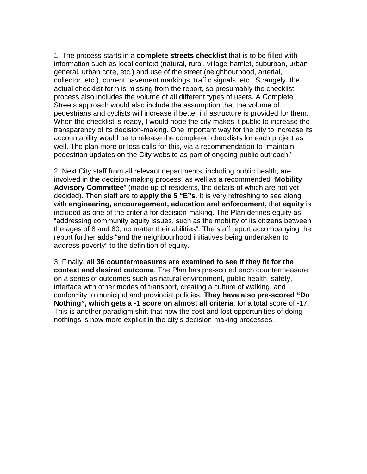1. The process starts in a **complete streets checklist** that is to be filled with information such as local context (natural, rural, village-hamlet, suburban, urban general, urban core, etc.) and use of the street (neighbourhood, arterial, collector, etc.), current pavement markings, traffic signals, etc.. Strangely, the actual checklist form is missing from the report, so presumably the checklist process also includes the volume of all different types of users. A Complete Streets approach would also include the assumption that the volume of pedestrians and cyclists will increase if better infrastructure is provided for them. When the checklist is ready, I would hope the city makes it public to increase the transparency of its decision-making. One important way for the city to increase its accountability would be to release the completed checklists for each project as well. The plan more or less calls for this, via a recommendation to "maintain pedestrian updates on the City website as part of ongoing public outreach."

2. Next City staff from all relevant departments, including public health, are involved in the decision-making process, as well as a recommended "**Mobility Advisory Committee**" (made up of residents, the details of which are not yet decided). Then staff are to **apply the 5 "E"s**. It is very refreshing to see along with **engineering, encouragement, education and enforcement,** that **equity** is included as one of the criteria for decision-making. The Plan defines equity as "addressing community equity issues, such as the mobility of its citizens between the ages of 8 and 80, no matter their abilities". The staff report accompanying the report further adds "and the neighbourhood initiatives being undertaken to address poverty" to the definition of equity.

3. Finally, **all 36 countermeasures are examined to see if they fit for the context and desired outcome**. The Plan has pre-scored each countermeasure on a series of outcomes such as natural environment, public health, safety, interface with other modes of transport, creating a culture of walking, and conformity to municipal and provincial policies. **They have also pre-scored "Do Nothing", which gets a -1 score on almost all criteria**, for a total score of -17. This is another paradigm shift that now the cost and lost opportunities of doing nothings is now more explicit in the city's decision-making processes.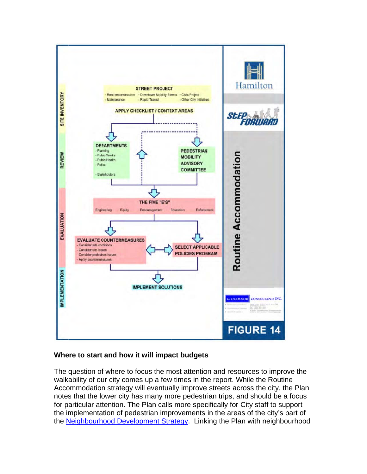

## Where to start and how it will impact budgets

The question of where to focus the most attention and resources to improve the walkability of our city comes up a few times in the report. While the Routine Accommodation strategy will eventually improve streets across the city, the Plan notes that the lower city has many more pedestrian trips, and should be a focus for particular attention. The Plan calls more specifically for City staff to support the implementation of pedestrian improvements in the areas of the city's part of the Neighbourhood Development Strategy. Linking the Plan with neighbourhood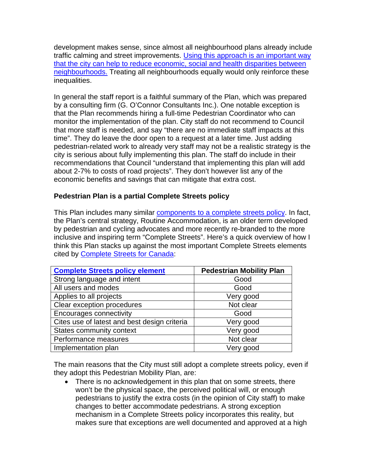development makes sense, since almost all neighbourhood plans already include traffic calming and street improvements. Using this approach is an important way that the city can help to reduce economic, social and health disparities between neighbourhoods. Treating all neighbourhoods equally would only reinforce these inequalities.

In general the staff report is a faithful summary of the Plan, which was prepared by a consulting firm (G. O'Connor Consultants Inc.). One notable exception is that the Plan recommends hiring a full-time Pedestrian Coordinator who can monitor the implementation of the plan. City staff do not recommend to Council that more staff is needed, and say "there are no immediate staff impacts at this time". They do leave the door open to a request at a later time. Just adding pedestrian-related work to already very staff may not be a realistic strategy is the city is serious about fully implementing this plan. The staff do include in their recommendations that Council "understand that implementing this plan will add about 2-7% to costs of road projects". They don't however list any of the economic benefits and savings that can mitigate that extra cost.

## **Pedestrian Plan is a partial Complete Streets policy**

This Plan includes many similar components to a complete streets policy. In fact, the Plan's central strategy, Routine Accommodation, is an older term developed by pedestrian and cycling advocates and more recently re-branded to the more inclusive and inspiring term "Complete Streets". Here's a quick overview of how I think this Plan stacks up against the most important Complete Streets elements cited by Complete Streets for Canada:

| <b>Complete Streets policy element</b>       | <b>Pedestrian Mobility Plan</b> |
|----------------------------------------------|---------------------------------|
| Strong language and intent                   | Good                            |
| All users and modes                          | Good                            |
| Applies to all projects                      | Very good                       |
| Clear exception procedures                   | Not clear                       |
| <b>Encourages connectivity</b>               | Good                            |
| Cites use of latest and best design criteria | Very good                       |
| States community context                     | Very good                       |
| Performance measures                         | Not clear                       |
| Implementation plan                          | Very good                       |

The main reasons that the City must still adopt a complete streets policy, even if they adopt this Pedestrian Mobility Plan, are:

• There is no acknowledgement in this plan that on some streets, there won't be the physical space, the perceived political will, or enough pedestrians to justify the extra costs (in the opinion of City staff) to make changes to better accommodate pedestrians. A strong exception mechanism in a Complete Streets policy incorporates this reality, but makes sure that exceptions are well documented and approved at a high